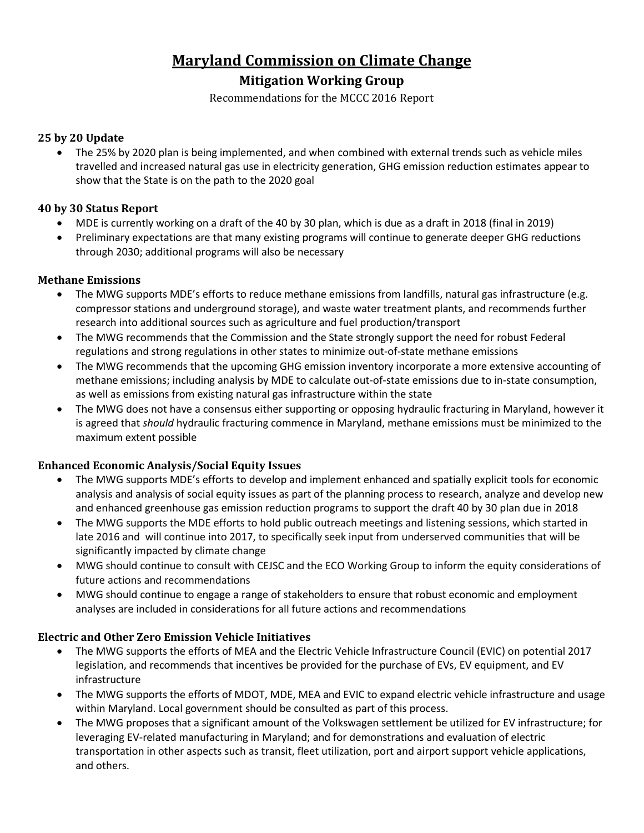# **Maryland Commission on Climate Change**

# **Mitigation Working Group**

Recommendations for the MCCC 2016 Report

#### **25 by 20 Update**

 The 25% by 2020 plan is being implemented, and when combined with external trends such as vehicle miles travelled and increased natural gas use in electricity generation, GHG emission reduction estimates appear to show that the State is on the path to the 2020 goal

#### **40 by 30 Status Report**

- MDE is currently working on a draft of the 40 by 30 plan, which is due as a draft in 2018 (final in 2019)
- Preliminary expectations are that many existing programs will continue to generate deeper GHG reductions through 2030; additional programs will also be necessary

#### **Methane Emissions**

- The MWG supports MDE's efforts to reduce methane emissions from landfills, natural gas infrastructure (e.g. compressor stations and underground storage), and waste water treatment plants, and recommends further research into additional sources such as agriculture and fuel production/transport
- The MWG recommends that the Commission and the State strongly support the need for robust Federal regulations and strong regulations in other states to minimize out-of-state methane emissions
- The MWG recommends that the upcoming GHG emission inventory incorporate a more extensive accounting of methane emissions; including analysis by MDE to calculate out-of-state emissions due to in-state consumption, as well as emissions from existing natural gas infrastructure within the state
- The MWG does not have a consensus either supporting or opposing hydraulic fracturing in Maryland, however it is agreed that *should* hydraulic fracturing commence in Maryland, methane emissions must be minimized to the maximum extent possible

## **Enhanced Economic Analysis/Social Equity Issues**

- The MWG supports MDE's efforts to develop and implement enhanced and spatially explicit tools for economic analysis and analysis of social equity issues as part of the planning process to research, analyze and develop new and enhanced greenhouse gas emission reduction programs to support the draft 40 by 30 plan due in 2018
- The MWG supports the MDE efforts to hold public outreach meetings and listening sessions, which started in late 2016 and will continue into 2017, to specifically seek input from underserved communities that will be significantly impacted by climate change
- MWG should continue to consult with CEJSC and the ECO Working Group to inform the equity considerations of future actions and recommendations
- MWG should continue to engage a range of stakeholders to ensure that robust economic and employment analyses are included in considerations for all future actions and recommendations

## **Electric and Other Zero Emission Vehicle Initiatives**

- The MWG supports the efforts of MEA and the Electric Vehicle Infrastructure Council (EVIC) on potential 2017 legislation, and recommends that incentives be provided for the purchase of EVs, EV equipment, and EV infrastructure
- The MWG supports the efforts of MDOT, MDE, MEA and EVIC to expand electric vehicle infrastructure and usage within Maryland. Local government should be consulted as part of this process.
- The MWG proposes that a significant amount of the Volkswagen settlement be utilized for EV infrastructure; for leveraging EV-related manufacturing in Maryland; and for demonstrations and evaluation of electric transportation in other aspects such as transit, fleet utilization, port and airport support vehicle applications, and others.